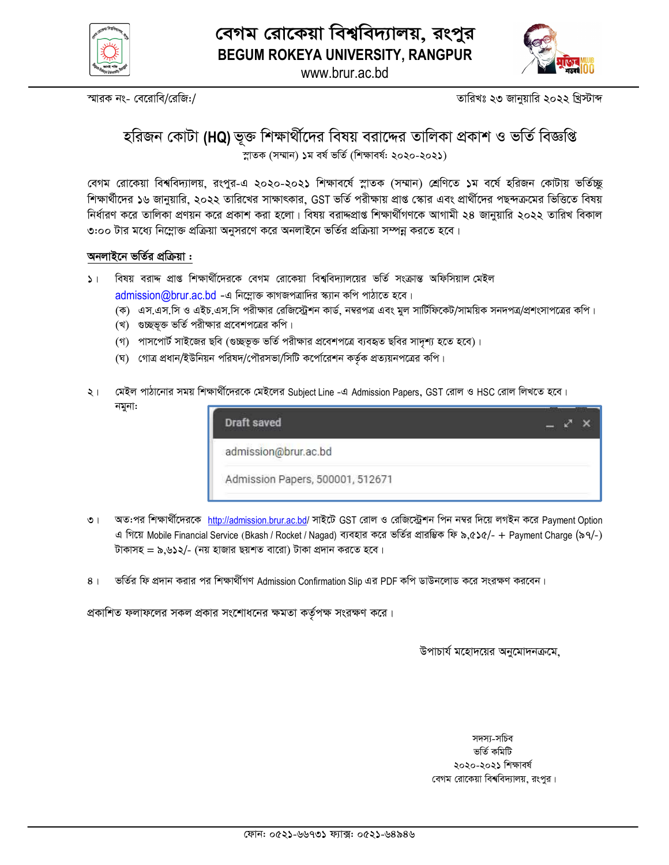



www.brur.ac.bd

স্মারক নং- বেরোবি/রেজি:/

তারিখঃ ২৩ জানুয়ারি ২০২২ খ্রিস্টাব্দ

# হরিজন কোটা (HQ) ভূক্ত শিক্ষার্থীদের বিষয় বরাদ্দের তালিকা প্রকাশ ও ভর্তি বিজ্ঞপ্তি স্নাতক (সম্মান) ১ম বর্ষ ভর্তি (শিক্ষাবর্ষ: ২০২০-২০২১)

বেগম রোকেয়া বিশ্ববিদ্যালয়, রংপুর-এ ২০২০-২০২১ শিক্ষাবর্ষে স্লাতক (সম্মান) শ্রেণিতে ১ম বর্ষে হরিজন কোটায় ভর্তিচ্ছ শিক্ষার্থীদের ১৬ জানুয়ারি, ২০২২ তারিখের সাক্ষাৎকার, GST ভর্তি পরীক্ষায় প্রাপ্ত স্কোর এবং প্রার্থীদের পছন্দক্রমের ভিত্তিতে বিষয় নির্ধারণ করে তালিকা প্রণয়ন করে প্রকাশ করা হলো। বিষয় বরাদ্দপ্রাপ্ত শিক্ষার্থীগণকে আগামী ২৪ জানুয়ারি ২০২২ তারিখ বিকাল ৩:০০ টার মধ্যে নিম্লোক্ত প্রক্রিয়া অনুসরণে করে অনলাইনে ভর্তির প্রক্রিয়া সম্পন্ন করতে হবে।

#### অনলাইনে ভর্তির প্রক্রিয়া :

- ১। বিষয় বরাদ্দ প্রাপ্ত শিক্ষার্থীদেরকে বেগম রোকেয়া বিশ্ববিদ্যালয়ের ভর্তি সংক্রান্ত অফিসিয়াল মেইল admission@brur.ac.bd - এ নিম্নোক্ত কাগজপত্রাদির স্ক্যান কপি পাঠাতে হবে।
	- (ক) এস.এস.সি ও এইচ.এস.সি পরীক্ষার রেজিস্ট্রেশন কার্ড, নম্বরপত্র এবং মুল সার্টিফিকেট/সাময়িক সনদপত্র/প্রশংসাপত্রের কপি।
	- (খ) গুচ্ছভূক্ত ভর্তি পরীক্ষার প্রবেশপত্রের কপি।
	- (গ) পাসপোর্ট সাইজের ছবি (গুচ্ছভূক্ত ভর্তি পরীক্ষার প্রবেশপত্রে ব্যবহৃত ছবির সাদৃশ্য হতে হবে)।
	- (ঘ) গোত্র প্রধান/ইউনিয়ন পরিষদ/পৌরসভা/সিটি কর্পোরেশন কর্তৃক প্রত্যয়নপত্রের কপি।
- মেইল পাঠানোর সময় শিক্ষার্থীদেরকে মেইলের Subject Line -এ Admission Papers, GST রোল ও HSC রোল লিখতে হবে।  $\ddot{z}$ নমুনা:

| Draft saved                      |  |
|----------------------------------|--|
| admission@brur.ac.bd             |  |
| Admission Papers, 500001, 512671 |  |

- অত:পর শিক্ষার্থীদেরকে http://admission.brur.ac.bd/ সাইটে GST রোল ও রেজিস্ট্রেশন পিন নম্বর দিয়ে লগইন করে Payment Option  $\overline{O}$  | এ গিয়ে Mobile Financial Service (Bkash / Rocket / Nagad) ব্যবহার করে ভর্তির প্রারম্ভিক ফি ৯,৫১৫/- + Payment Charge (৯৭/-) টাকাসহ = ৯,৬১২/- (নয় হাজার ছয়শত বারো) টাকা প্রদান করতে হবে।
- ভর্তির ফি প্রদান করার পর শিক্ষার্থীগণ Admission Confirmation Slip এর PDF কপি ডাউনলোড করে সংরক্ষণ করবেন।  $8<sup>1</sup>$

প্রকাশিত ফলাফলের সকল প্রকার সংশোধনের ক্ষমতা কর্তৃপক্ষ সংরক্ষণ করে।

উপাচার্য মহোদয়ের অনুমোদনক্রমে.

সদস্য-সচিব ভৰ্তি কমিটি ২০২০-২০২১ শিক্ষাবৰ্ষ বেগম রোকেয়া বিশ্ববিদ্যালয়, রংপর।